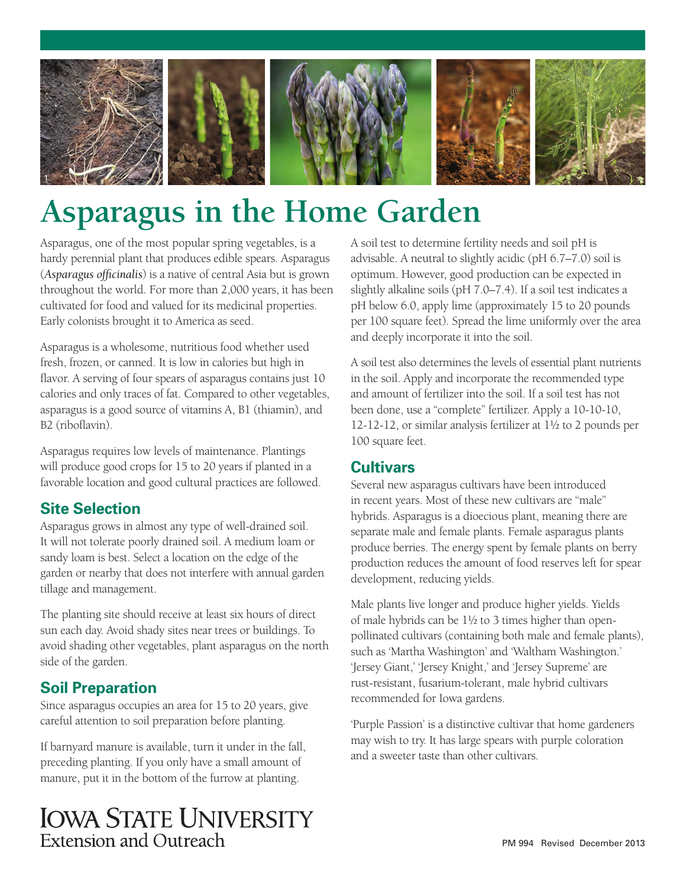

# **Asparagus in the Home Garden**

Asparagus, one of the most popular spring vegetables, is a hardy perennial plant that produces edible spears. Asparagus (*Asparagus officinalis*) is a native of central Asia but is grown throughout the world. For more than 2,000 years, it has been cultivated for food and valued for its medicinal properties. Early colonists brought it to America as seed.

Asparagus is a wholesome, nutritious food whether used fresh, frozen, or canned. It is low in calories but high in flavor. A serving of four spears of asparagus contains just 10 calories and only traces of fat. Compared to other vegetables, asparagus is a good source of vitamins A, B1 (thiamin), and B2 (riboflavin).

Asparagus requires low levels of maintenance. Plantings will produce good crops for 15 to 20 years if planted in a favorable location and good cultural practices are followed.

# **Site Selection**

Asparagus grows in almost any type of well-drained soil. It will not tolerate poorly drained soil. A medium loam or sandy loam is best. Select a location on the edge of the garden or nearby that does not interfere with annual garden tillage and management.

The planting site should receive at least six hours of direct sun each day. Avoid shady sites near trees or buildings. To avoid shading other vegetables, plant asparagus on the north side of the garden.

# **Soil Preparation**

Since asparagus occupies an area for 15 to 20 years, give careful attention to soil preparation before planting.

If barnyard manure is available, turn it under in the fall, preceding planting. If you only have a small amount of manure, put it in the bottom of the furrow at planting.

**IOWA STATE UNIVERSITY** Extension and Outreach

A soil test to determine fertility needs and soil pH is advisable. A neutral to slightly acidic (pH 6.7–7.0) soil is optimum. However, good production can be expected in slightly alkaline soils (pH 7.0–7.4). If a soil test indicates a pH below 6.0, apply lime (approximately 15 to 20 pounds per 100 square feet). Spread the lime uniformly over the area and deeply incorporate it into the soil.

A soil test also determines the levels of essential plant nutrients in the soil. Apply and incorporate the recommended type and amount of fertilizer into the soil. If a soil test has not been done, use a "complete" fertilizer. Apply a 10-10-10, 12-12-12, or similar analysis fertilizer at 1½ to 2 pounds per 100 square feet.

# **Cultivars**

Several new asparagus cultivars have been introduced in recent years. Most of these new cultivars are "male" hybrids. Asparagus is a dioecious plant, meaning there are separate male and female plants. Female asparagus plants produce berries. The energy spent by female plants on berry production reduces the amount of food reserves left for spear development, reducing yields.

Male plants live longer and produce higher yields. Yields of male hybrids can be 1½ to 3 times higher than openpollinated cultivars (containing both male and female plants), such as 'Martha Washington' and 'Waltham Washington.' 'Jersey Giant,' 'Jersey Knight,' and 'Jersey Supreme' are rust-resistant, fusarium-tolerant, male hybrid cultivars recommended for Iowa gardens.

'Purple Passion' is a distinctive cultivar that home gardeners may wish to try. It has large spears with purple coloration and a sweeter taste than other cultivars.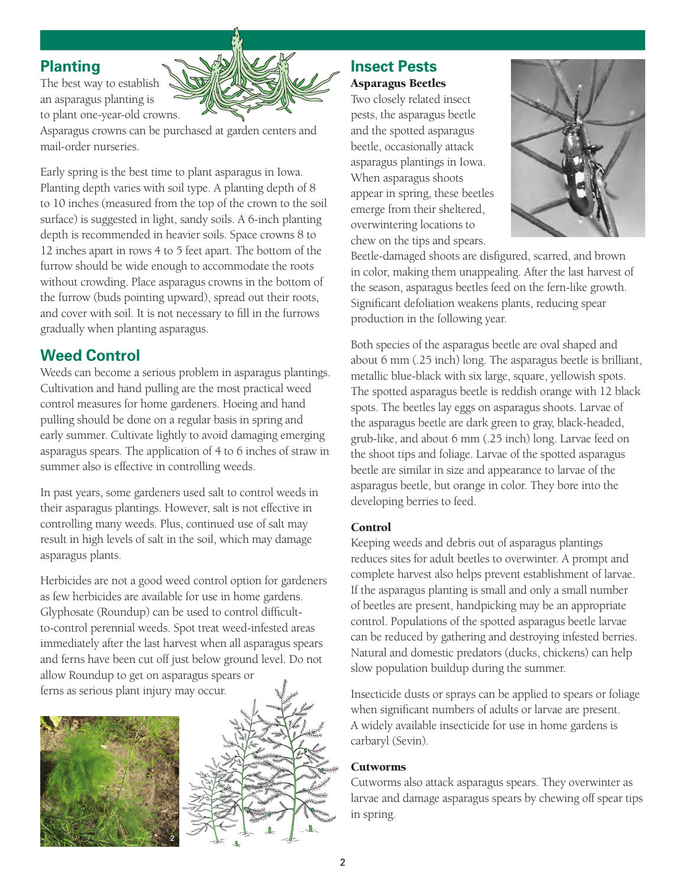# **Planting**

The best way to establish an asparagus planting is to plant one-year-old crowns.



Asparagus crowns can be purchased at garden centers and mail-order nurseries.

Early spring is the best time to plant asparagus in Iowa. Planting depth varies with soil type. A planting depth of 8 to 10 inches (measured from the top of the crown to the soil surface) is suggested in light, sandy soils. A 6-inch planting depth is recommended in heavier soils. Space crowns 8 to 12 inches apart in rows 4 to 5 feet apart. The bottom of the furrow should be wide enough to accommodate the roots without crowding. Place asparagus crowns in the bottom of the furrow (buds pointing upward), spread out their roots, and cover with soil. It is not necessary to fill in the furrows gradually when planting asparagus.

# **Weed Control**

Weeds can become a serious problem in asparagus plantings. Cultivation and hand pulling are the most practical weed control measures for home gardeners. Hoeing and hand pulling should be done on a regular basis in spring and early summer. Cultivate lightly to avoid damaging emerging asparagus spears. The application of 4 to 6 inches of straw in summer also is effective in controlling weeds.

In past years, some gardeners used salt to control weeds in their asparagus plantings. However, salt is not effective in controlling many weeds. Plus, continued use of salt may result in high levels of salt in the soil, which may damage asparagus plants.

Herbicides are not a good weed control option for gardeners as few herbicides are available for use in home gardens. Glyphosate (Roundup) can be used to control difficultto-control perennial weeds. Spot treat weed-infested areas immediately after the last harvest when all asparagus spears and ferns have been cut off just below ground level. Do not allow Roundup to get on asparagus spears or ferns as serious plant injury may occur.





# **Insect Pests** Asparagus Beetles

Two closely related insect pests, the asparagus beetle and the spotted asparagus beetle, occasionally attack asparagus plantings in Iowa. When asparagus shoots appear in spring, these beetles emerge from their sheltered, overwintering locations to chew on the tips and spears.



Beetle-damaged shoots are disfigured, scarred, and brown in color, making them unappealing. After the last harvest of the season, asparagus beetles feed on the fern-like growth. Significant defoliation weakens plants, reducing spear production in the following year.

Both species of the asparagus beetle are oval shaped and about 6 mm (.25 inch) long. The asparagus beetle is brilliant, metallic blue-black with six large, square, yellowish spots. The spotted asparagus beetle is reddish orange with 12 black spots. The beetles lay eggs on asparagus shoots. Larvae of the asparagus beetle are dark green to gray, black-headed, grub-like, and about 6 mm (.25 inch) long. Larvae feed on the shoot tips and foliage. Larvae of the spotted asparagus beetle are similar in size and appearance to larvae of the asparagus beetle, but orange in color. They bore into the developing berries to feed.

#### Control

Keeping weeds and debris out of asparagus plantings reduces sites for adult beetles to overwinter. A prompt and complete harvest also helps prevent establishment of larvae. If the asparagus planting is small and only a small number of beetles are present, handpicking may be an appropriate control. Populations of the spotted asparagus beetle larvae can be reduced by gathering and destroying infested berries. Natural and domestic predators (ducks, chickens) can help slow population buildup during the summer.

Insecticide dusts or sprays can be applied to spears or foliage when significant numbers of adults or larvae are present. A widely available insecticide for use in home gardens is carbaryl (Sevin).

#### Cutworms

Cutworms also attack asparagus spears. They overwinter as larvae and damage asparagus spears by chewing off spear tips in spring.